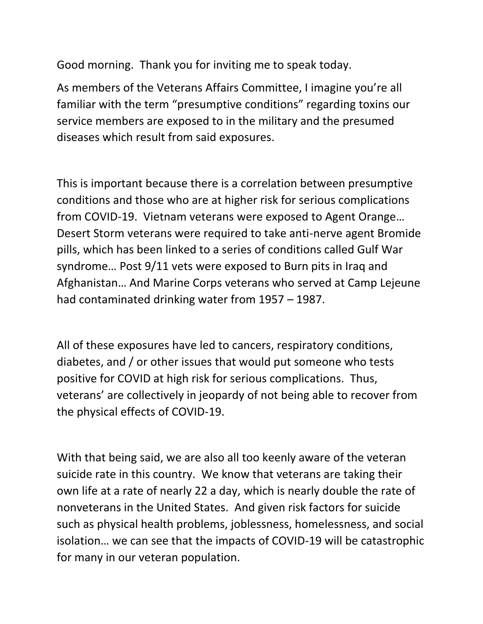Good morning. Thank you for inviting me to speak today.

As members of the Veterans Affairs Committee, I imagine you're all familiar with the term "presumptive conditions" regarding toxins our service members are exposed to in the military and the presumed diseases which result from said exposures.

This is important because there is a correlation between presumptive conditions and those who are at higher risk for serious complications from COVID-19. Vietnam veterans were exposed to Agent Orange… Desert Storm veterans were required to take anti-nerve agent Bromide pills, which has been linked to a series of conditions called Gulf War syndrome… Post 9/11 vets were exposed to Burn pits in Iraq and Afghanistan… And Marine Corps veterans who served at Camp Lejeune had contaminated drinking water from 1957 – 1987.

All of these exposures have led to cancers, respiratory conditions, diabetes, and / or other issues that would put someone who tests positive for COVID at high risk for serious complications. Thus, veterans' are collectively in jeopardy of not being able to recover from the physical effects of COVID-19.

With that being said, we are also all too keenly aware of the veteran suicide rate in this country. We know that veterans are taking their own life at a rate of nearly 22 a day, which is nearly double the rate of nonveterans in the United States. And given risk factors for suicide such as physical health problems, joblessness, homelessness, and social isolation… we can see that the impacts of COVID-19 will be catastrophic for many in our veteran population.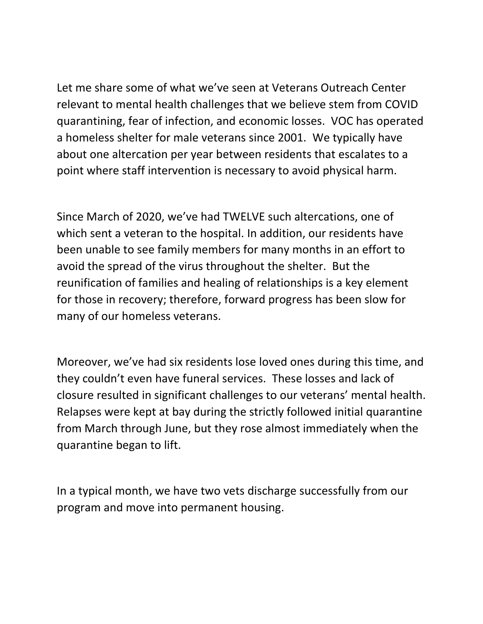Let me share some of what we've seen at Veterans Outreach Center relevant to mental health challenges that we believe stem from COVID quarantining, fear of infection, and economic losses. VOC has operated a homeless shelter for male veterans since 2001. We typically have about one altercation per year between residents that escalates to a point where staff intervention is necessary to avoid physical harm.

Since March of 2020, we've had TWELVE such altercations, one of which sent a veteran to the hospital. In addition, our residents have been unable to see family members for many months in an effort to avoid the spread of the virus throughout the shelter. But the reunification of families and healing of relationships is a key element for those in recovery; therefore, forward progress has been slow for many of our homeless veterans.

Moreover, we've had six residents lose loved ones during this time, and they couldn't even have funeral services. These losses and lack of closure resulted in significant challenges to our veterans' mental health. Relapses were kept at bay during the strictly followed initial quarantine from March through June, but they rose almost immediately when the quarantine began to lift.

In a typical month, we have two vets discharge successfully from our program and move into permanent housing.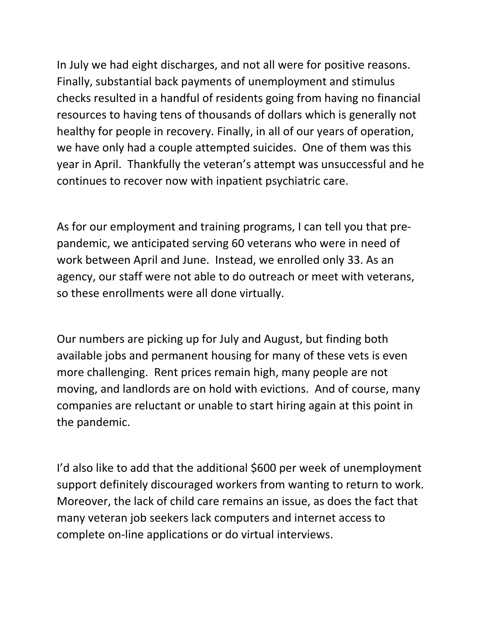In July we had eight discharges, and not all were for positive reasons. Finally, substantial back payments of unemployment and stimulus checks resulted in a handful of residents going from having no financial resources to having tens of thousands of dollars which is generally not healthy for people in recovery. Finally, in all of our years of operation, we have only had a couple attempted suicides. One of them was this year in April. Thankfully the veteran's attempt was unsuccessful and he continues to recover now with inpatient psychiatric care.

As for our employment and training programs, I can tell you that prepandemic, we anticipated serving 60 veterans who were in need of work between April and June. Instead, we enrolled only 33. As an agency, our staff were not able to do outreach or meet with veterans, so these enrollments were all done virtually.

Our numbers are picking up for July and August, but finding both available jobs and permanent housing for many of these vets is even more challenging. Rent prices remain high, many people are not moving, and landlords are on hold with evictions. And of course, many companies are reluctant or unable to start hiring again at this point in the pandemic.

I'd also like to add that the additional \$600 per week of unemployment support definitely discouraged workers from wanting to return to work. Moreover, the lack of child care remains an issue, as does the fact that many veteran job seekers lack computers and internet access to complete on-line applications or do virtual interviews.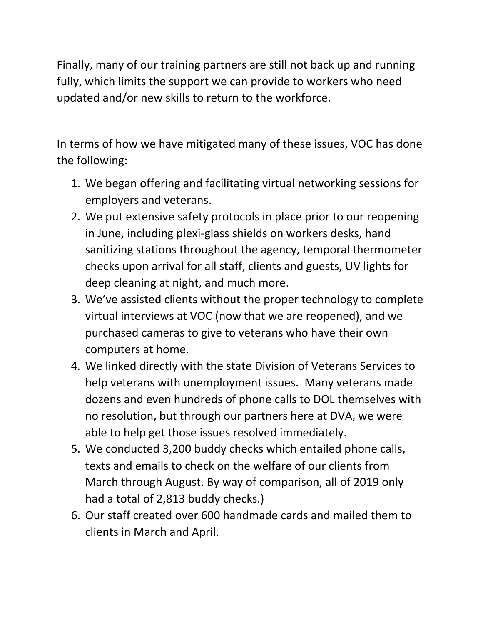Finally, many of our training partners are still not back up and running fully, which limits the support we can provide to workers who need updated and/or new skills to return to the workforce.

In terms of how we have mitigated many of these issues, VOC has done the following:

- 1. We began offering and facilitating virtual networking sessions for employers and veterans.
- 2. We put extensive safety protocols in place prior to our reopening in June, including plexi-glass shields on workers desks, hand sanitizing stations throughout the agency, temporal thermometer checks upon arrival for all staff, clients and guests, UV lights for deep cleaning at night, and much more.
- 3. We've assisted clients without the proper technology to complete virtual interviews at VOC (now that we are reopened), and we purchased cameras to give to veterans who have their own computers at home.
- 4. We linked directly with the state Division of Veterans Services to help veterans with unemployment issues. Many veterans made dozens and even hundreds of phone calls to DOL themselves with no resolution, but through our partners here at DVA, we were able to help get those issues resolved immediately.
- 5. We conducted 3,200 buddy checks which entailed phone calls, texts and emails to check on the welfare of our clients from March through August. By way of comparison, all of 2019 only had a total of 2,813 buddy checks.)
- 6. Our staff created over 600 handmade cards and mailed them to clients in March and April.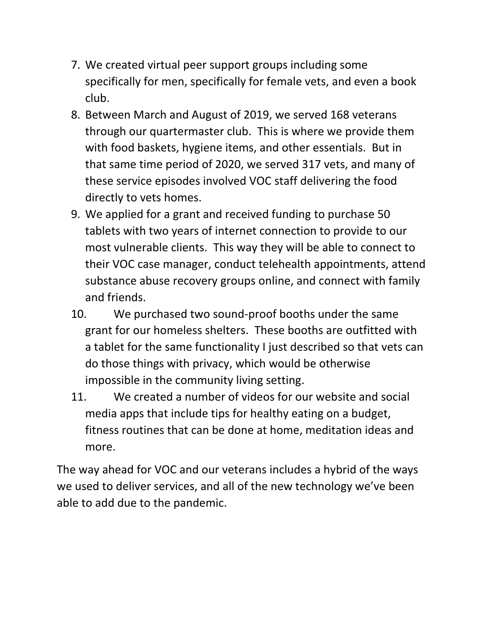- 7. We created virtual peer support groups including some specifically for men, specifically for female vets, and even a book club.
- 8. Between March and August of 2019, we served 168 veterans through our quartermaster club. This is where we provide them with food baskets, hygiene items, and other essentials. But in that same time period of 2020, we served 317 vets, and many of these service episodes involved VOC staff delivering the food directly to vets homes.
- 9. We applied for a grant and received funding to purchase 50 tablets with two years of internet connection to provide to our most vulnerable clients. This way they will be able to connect to their VOC case manager, conduct telehealth appointments, attend substance abuse recovery groups online, and connect with family and friends.
- 10. We purchased two sound-proof booths under the same grant for our homeless shelters. These booths are outfitted with a tablet for the same functionality I just described so that vets can do those things with privacy, which would be otherwise impossible in the community living setting.
- 11. We created a number of videos for our website and social media apps that include tips for healthy eating on a budget, fitness routines that can be done at home, meditation ideas and more.

The way ahead for VOC and our veterans includes a hybrid of the ways we used to deliver services, and all of the new technology we've been able to add due to the pandemic.